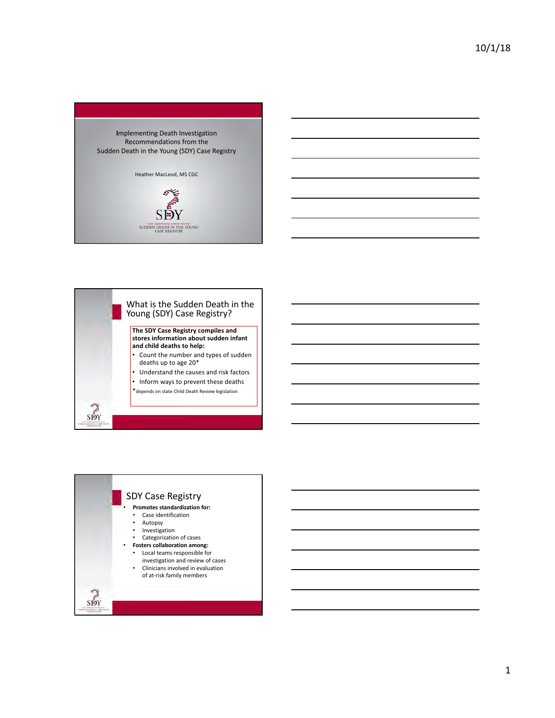



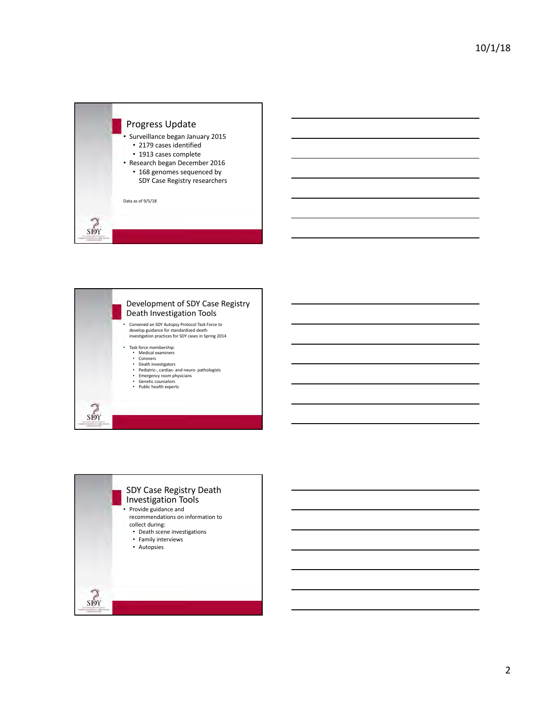



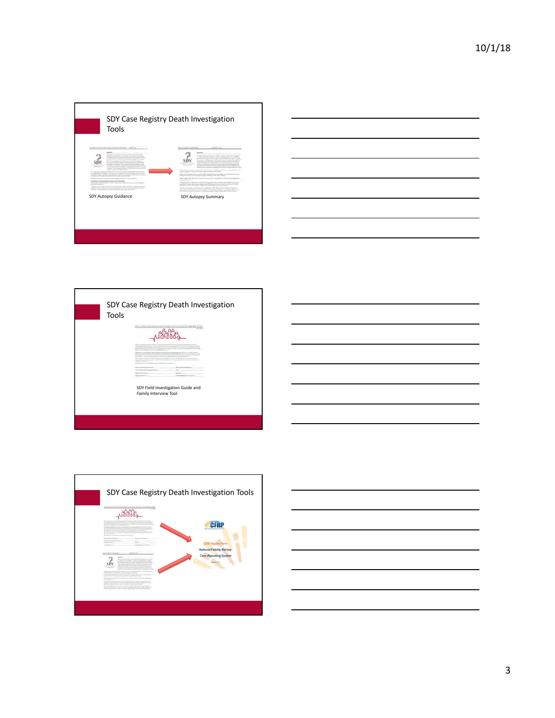



|  | 404 FALLO J'ANARYGATION CITOL AND FRAUD INTERNET-TOOL      |  |  |
|--|------------------------------------------------------------|--|--|
|  |                                                            |  |  |
|  |                                                            |  |  |
|  | SDY Field Investigation Guide and<br>Family Interview Tool |  |  |



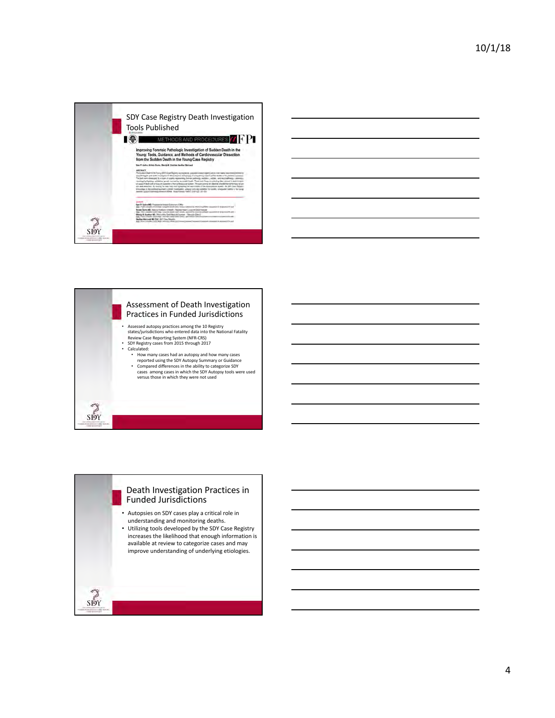





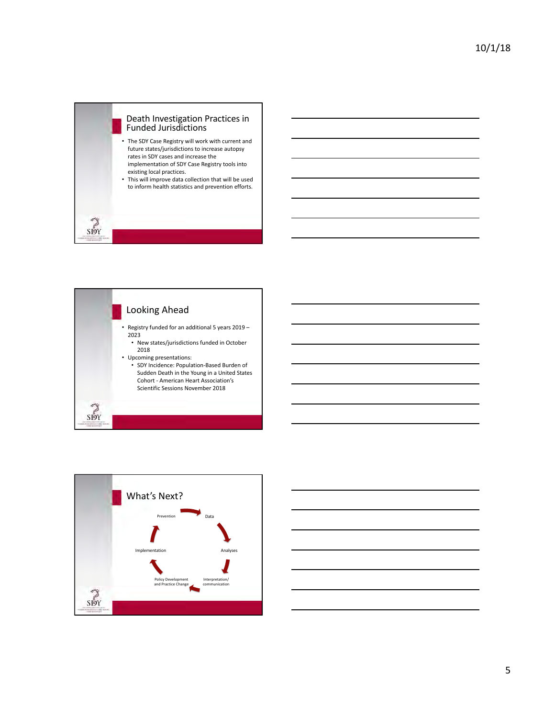





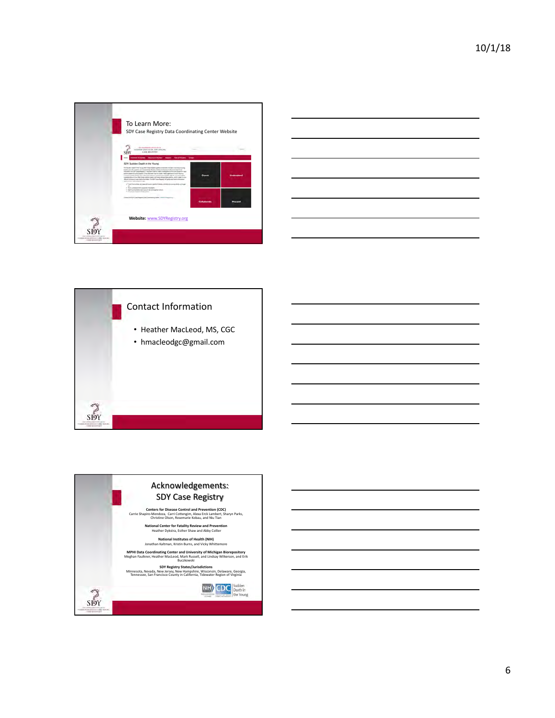

| the control of the control of the control of the control of the control of the control of | $\overline{\phantom{a}}$ |
|-------------------------------------------------------------------------------------------|--------------------------|
|                                                                                           |                          |
|                                                                                           |                          |
|                                                                                           |                          |
|                                                                                           |                          |
|                                                                                           |                          |
|                                                                                           |                          |
|                                                                                           |                          |
|                                                                                           |                          |
|                                                                                           |                          |
|                                                                                           |                          |
|                                                                                           |                          |
|                                                                                           | $\overline{\phantom{a}}$ |
|                                                                                           |                          |
|                                                                                           |                          |
| <u> 1989 - Andrea Andrew Maria (h. 1989).</u>                                             |                          |
|                                                                                           |                          |
|                                                                                           |                          |
|                                                                                           |                          |